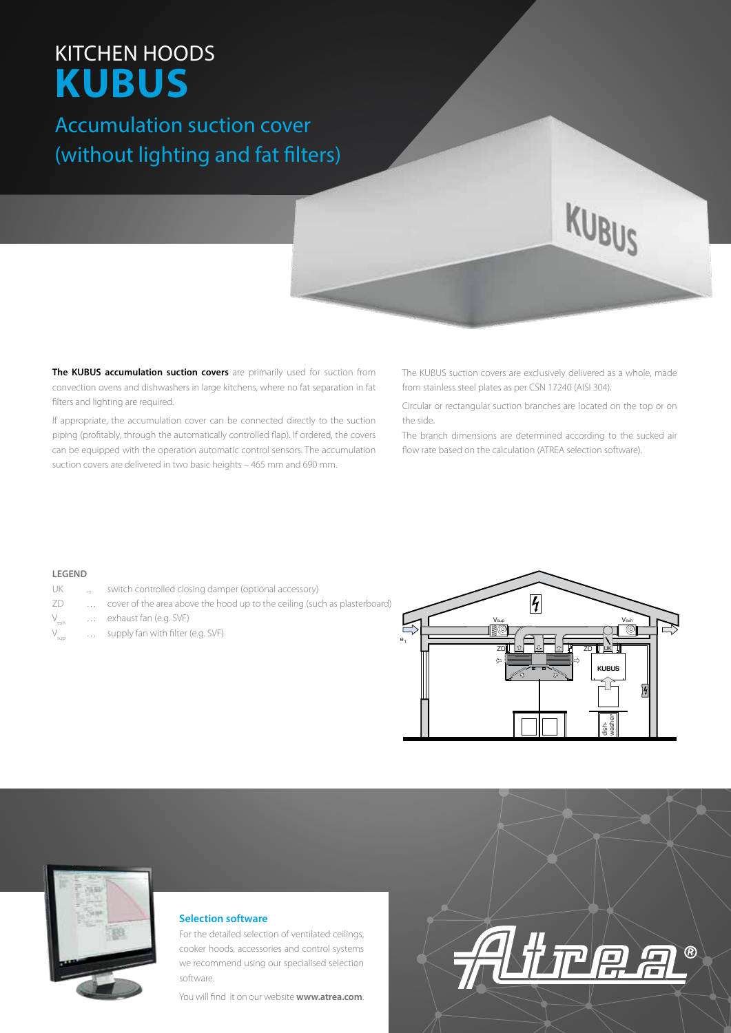# KITCHEN HOODS **KUBUS**

## Accumulation suction cover (without lighting and fat filters)

**The KUBUS accumulation suction covers** are primarily used for suction from convection ovens and dishwashers in large kitchens, where no fat separation in fat filters and lighting are required.

If appropriate, the accumulation cover can be connected directly to the suction piping (profitably, through the automatically controlled flap). If ordered, the covers can be equipped with the operation automatic control sensors. The accumulation suction covers are delivered in two basic heights – 465 mm and 690 mm.

The KUBUS suction covers are exclusively delivered as a whole, made from stainless steel plates as per CSN 17240 (AISI 304).

KUBUS

Circular or rectangular suction branches are located on the top or on the side.

The branch dimensions are determined according to the sucked air flow rate based on the calculation (ATREA selection software).

### **LEGEND**

- UK ... switch controlled closing damper (optional accessory)
- ZD … cover of the area above the hood up to the ceiling (such as plasterboard)
- V<sub>exh</sub> … exhaust fan (e.g. SVF)
- supply fan with filter (e.g. SVF)





### **Selection software**

For the detailed selection of ventilated ceilings, cooker hoods, accessories and control systems we recommend using our specialised selection software.

You will find it on our website **www.atrea.com**.